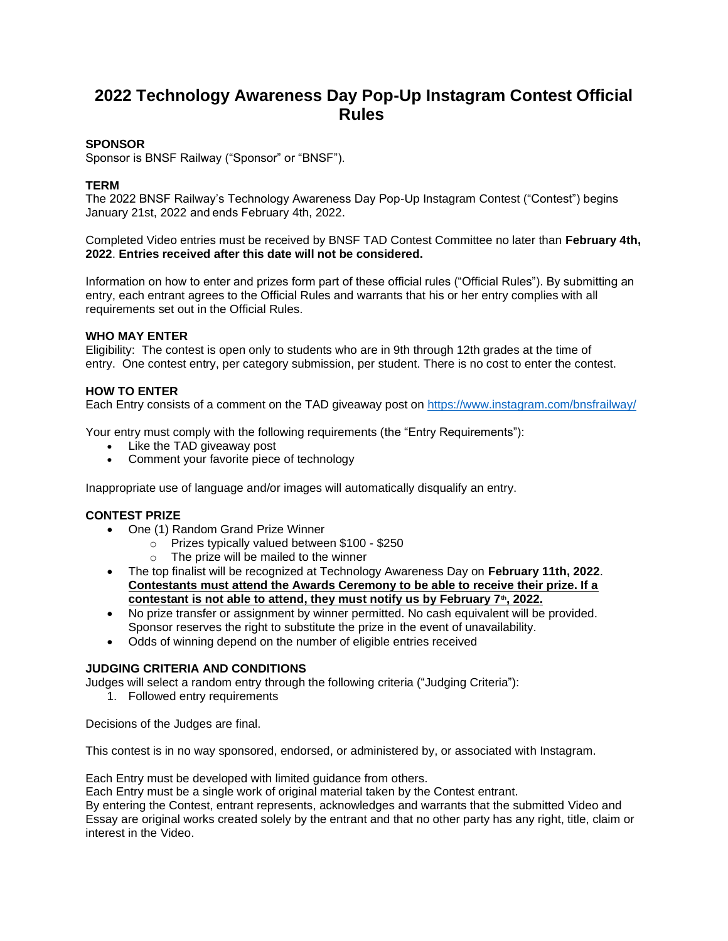# **2022 Technology Awareness Day Pop-Up Instagram Contest Official Rules**

## **SPONSOR**

Sponsor is BNSF Railway ("Sponsor" or "BNSF").

## **TERM**

The 2022 BNSF Railway's Technology Awareness Day Pop-Up Instagram Contest ("Contest") begins January 21st, 2022 and ends February 4th, 2022.

Completed Video entries must be received by BNSF TAD Contest Committee no later than **February 4th, 2022**. **Entries received after this date will not be considered.**

Information on how to enter and prizes form part of these official rules ("Official Rules"). By submitting an entry, each entrant agrees to the Official Rules and warrants that his or her entry complies with all requirements set out in the Official Rules.

## **WHO MAY ENTER**

Eligibility: The contest is open only to students who are in 9th through 12th grades at the time of entry. One contest entry, per category submission, per student. There is no cost to enter the contest.

## **HOW TO ENTER**

Each Entry consists of a comment on the TAD giveaway post on<https://www.instagram.com/bnsfrailway/>

Your entry must comply with the following requirements (the "Entry Requirements"):

- Like the TAD giveaway post
- Comment your favorite piece of technology

Inappropriate use of language and/or images will automatically disqualify an entry.

#### **CONTEST PRIZE**

- One (1) Random Grand Prize Winner
	- o Prizes typically valued between \$100 \$250
	- o The prize will be mailed to the winner
- The top finalist will be recognized at Technology Awareness Day on **February 11th, 2022**. **Contestants must attend the Awards Ceremony to be able to receive their prize. If a contestant is not able to attend, they must notify us by February 7th, 2022.**
- No prize transfer or assignment by winner permitted. No cash equivalent will be provided. Sponsor reserves the right to substitute the prize in the event of unavailability.
- Odds of winning depend on the number of eligible entries received

#### **JUDGING CRITERIA AND CONDITIONS**

Judges will select a random entry through the following criteria ("Judging Criteria"):

1. Followed entry requirements

Decisions of the Judges are final.

This contest is in no way sponsored, endorsed, or administered by, or associated with Instagram.

Each Entry must be developed with limited guidance from others.

Each Entry must be a single work of original material taken by the Contest entrant.

By entering the Contest, entrant represents, acknowledges and warrants that the submitted Video and Essay are original works created solely by the entrant and that no other party has any right, title, claim or interest in the Video.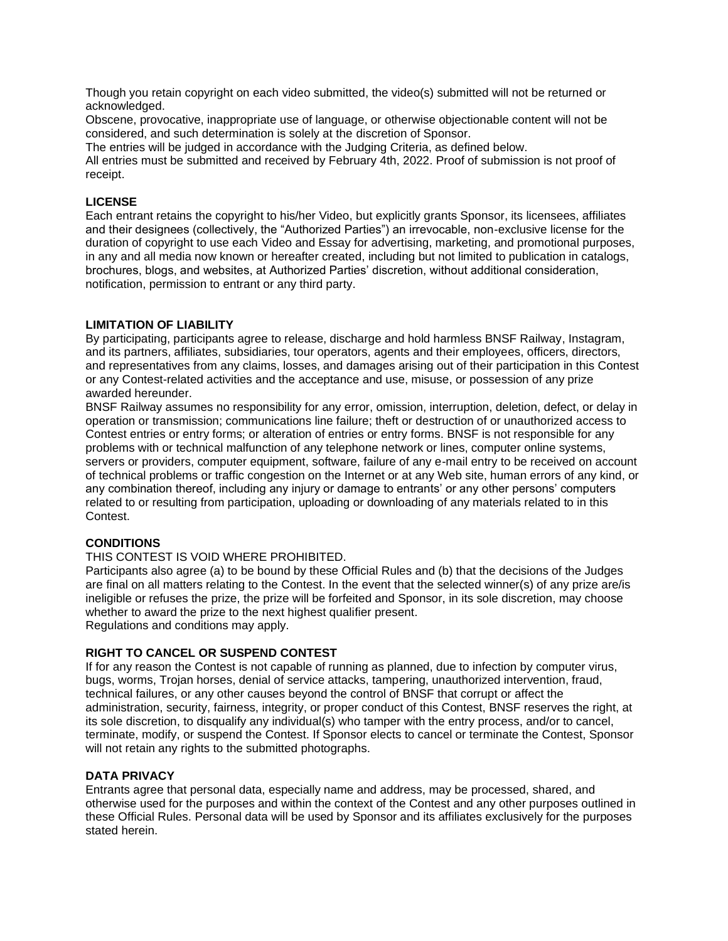Though you retain copyright on each video submitted, the video(s) submitted will not be returned or acknowledged.

Obscene, provocative, inappropriate use of language, or otherwise objectionable content will not be considered, and such determination is solely at the discretion of Sponsor.

The entries will be judged in accordance with the Judging Criteria, as defined below.

All entries must be submitted and received by February 4th, 2022. Proof of submission is not proof of receipt.

## **LICENSE**

Each entrant retains the copyright to his/her Video, but explicitly grants Sponsor, its licensees, affiliates and their designees (collectively, the "Authorized Parties") an irrevocable, non-exclusive license for the duration of copyright to use each Video and Essay for advertising, marketing, and promotional purposes, in any and all media now known or hereafter created, including but not limited to publication in catalogs, brochures, blogs, and websites, at Authorized Parties' discretion, without additional consideration, notification, permission to entrant or any third party.

## **LIMITATION OF LIABILITY**

By participating, participants agree to release, discharge and hold harmless BNSF Railway, Instagram, and its partners, affiliates, subsidiaries, tour operators, agents and their employees, officers, directors, and representatives from any claims, losses, and damages arising out of their participation in this Contest or any Contest-related activities and the acceptance and use, misuse, or possession of any prize awarded hereunder.

BNSF Railway assumes no responsibility for any error, omission, interruption, deletion, defect, or delay in operation or transmission; communications line failure; theft or destruction of or unauthorized access to Contest entries or entry forms; or alteration of entries or entry forms. BNSF is not responsible for any problems with or technical malfunction of any telephone network or lines, computer online systems, servers or providers, computer equipment, software, failure of any e-mail entry to be received on account of technical problems or traffic congestion on the Internet or at any Web site, human errors of any kind, or any combination thereof, including any injury or damage to entrants' or any other persons' computers related to or resulting from participation, uploading or downloading of any materials related to in this Contest.

#### **CONDITIONS**

## THIS CONTEST IS VOID WHERE PROHIBITED.

Participants also agree (a) to be bound by these Official Rules and (b) that the decisions of the Judges are final on all matters relating to the Contest. In the event that the selected winner(s) of any prize are/is ineligible or refuses the prize, the prize will be forfeited and Sponsor, in its sole discretion, may choose whether to award the prize to the next highest qualifier present. Regulations and conditions may apply.

# **RIGHT TO CANCEL OR SUSPEND CONTEST**

If for any reason the Contest is not capable of running as planned, due to infection by computer virus, bugs, worms, Trojan horses, denial of service attacks, tampering, unauthorized intervention, fraud, technical failures, or any other causes beyond the control of BNSF that corrupt or affect the administration, security, fairness, integrity, or proper conduct of this Contest, BNSF reserves the right, at its sole discretion, to disqualify any individual(s) who tamper with the entry process, and/or to cancel, terminate, modify, or suspend the Contest. If Sponsor elects to cancel or terminate the Contest, Sponsor will not retain any rights to the submitted photographs.

#### **DATA PRIVACY**

Entrants agree that personal data, especially name and address, may be processed, shared, and otherwise used for the purposes and within the context of the Contest and any other purposes outlined in these Official Rules. Personal data will be used by Sponsor and its affiliates exclusively for the purposes stated herein.